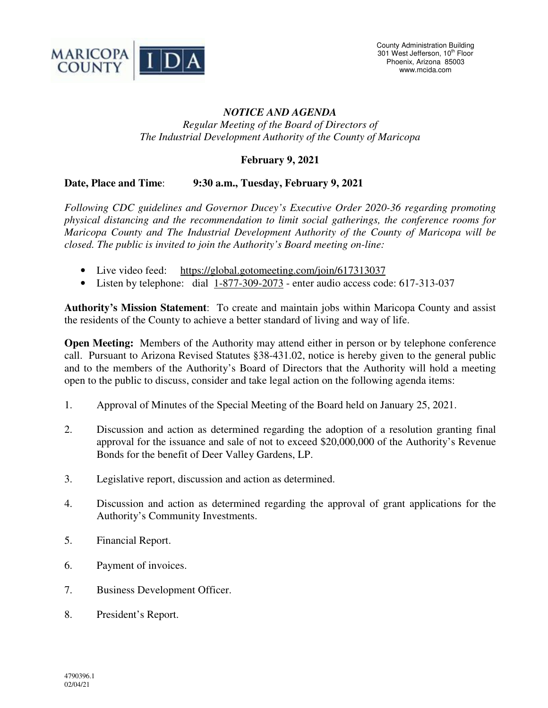

## *NOTICE AND AGENDA Regular Meeting of the Board of Directors of*

## **February 9, 2021**

*The Industrial Development Authority of the County of Maricopa* 

## **Date, Place and Time**: **9:30 a.m., Tuesday, February 9, 2021**

*Following CDC guidelines and Governor Ducey's Executive Order 2020-36 regarding promoting physical distancing and the recommendation to limit social gatherings, the conference rooms for Maricopa County and The Industrial Development Authority of the County of Maricopa will be closed. The public is invited to join the Authority's Board meeting on-line:* 

- Live video feed: https://global.gotomeeting.com/join/617313037
- Listen by telephone: dial 1-877-309-2073 enter audio access code: 617-313-037

**Authority's Mission Statement**: To create and maintain jobs within Maricopa County and assist the residents of the County to achieve a better standard of living and way of life.

**Open Meeting:** Members of the Authority may attend either in person or by telephone conference call. Pursuant to Arizona Revised Statutes §38-431.02, notice is hereby given to the general public and to the members of the Authority's Board of Directors that the Authority will hold a meeting open to the public to discuss, consider and take legal action on the following agenda items:

- 1. Approval of Minutes of the Special Meeting of the Board held on January 25, 2021.
- 2. Discussion and action as determined regarding the adoption of a resolution granting final approval for the issuance and sale of not to exceed \$20,000,000 of the Authority's Revenue Bonds for the benefit of Deer Valley Gardens, LP.
- 3. Legislative report, discussion and action as determined.
- 4. Discussion and action as determined regarding the approval of grant applications for the Authority's Community Investments.
- 5. Financial Report.
- 6. Payment of invoices.
- 7. Business Development Officer.
- 8. President's Report.